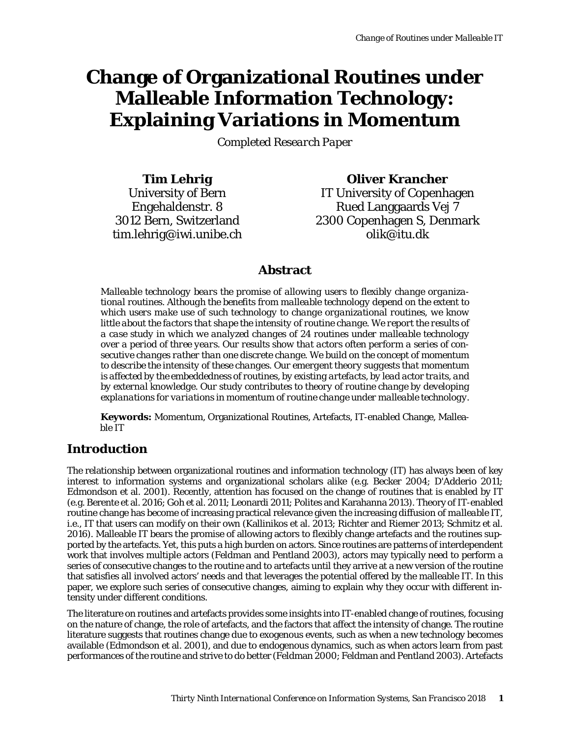# **Change of Organizational Routines under Malleable Information Technology: Explaining Variations in Momentum**

*Completed Research Paper*

**Tim Lehrig** University of Bern Engehaldenstr. 8 3012 Bern, Switzerland tim.lehrig@iwi.unibe.ch

**Oliver Krancher** IT University of Copenhagen Rued Langgaards Vej 7 2300 Copenhagen S, Denmark olik@itu.dk

# **Abstract**

*Malleable technology bears the promise of allowing users to flexibly change organizational routines. Although the benefits from malleable technology depend on the extent to which users make use of such technology to change organizational routines, we know little about the factors that shape the intensity of routine change. We report the results of a case study in which we analyzed changes of 24 routines under malleable technology over a period of three years. Our results show that actors often perform a series of consecutive changes rather than one discrete change. We build on the concept of momentum to describe the intensity of these changes. Our emergent theory suggests that momentum is affected by the embeddedness of routines, by existing artefacts, by lead actor traits, and by external knowledge. Our study contributes to theory of routine change by developing explanations for variations in momentum of routine change under malleable technology.*

**Keywords:** Momentum, Organizational Routines, Artefacts, IT-enabled Change, Malleable IT

# **Introduction**

The relationship between organizational routines and information technology (IT) has always been of key interest to information systems and organizational scholars alike (e.g. Becker 2004; D'Adderio 2011; Edmondson et al. 2001). Recently, attention has focused on the change of routines that is enabled by IT (e.g. Berente et al. 2016; Goh et al. 2011; Leonardi 2011; Polites and Karahanna 2013). Theory of IT-enabled routine change has become of increasing practical relevance given the increasing diffusion of *malleable IT*, i.e., IT that users can modify on their own (Kallinikos et al. 2013; Richter and Riemer 2013; Schmitz et al. 2016). Malleable IT bears the promise of allowing actors to flexibly change artefacts and the routines supported by the artefacts. Yet, this puts a high burden on actors. Since routines are patterns of interdependent work that involves multiple actors (Feldman and Pentland 2003), actors may typically need to perform a series of consecutive changes to the routine and to artefacts until they arrive at a new version of the routine that satisfies all involved actors' needs and that leverages the potential offered by the malleable IT. In this paper, we explore such series of consecutive changes, aiming to explain why they occur with different intensity under different conditions.

The literature on routines and artefacts provides some insights into IT-enabled change of routines, focusing on the nature of change, the role of artefacts, and the factors that affect the intensity of change. The routine literature suggests that routines change due to exogenous events, such as when a new technology becomes available (Edmondson et al. 2001), and due to endogenous dynamics, such as when actors learn from past performances of the routine and strive to do better (Feldman 2000; Feldman and Pentland 2003). Artefacts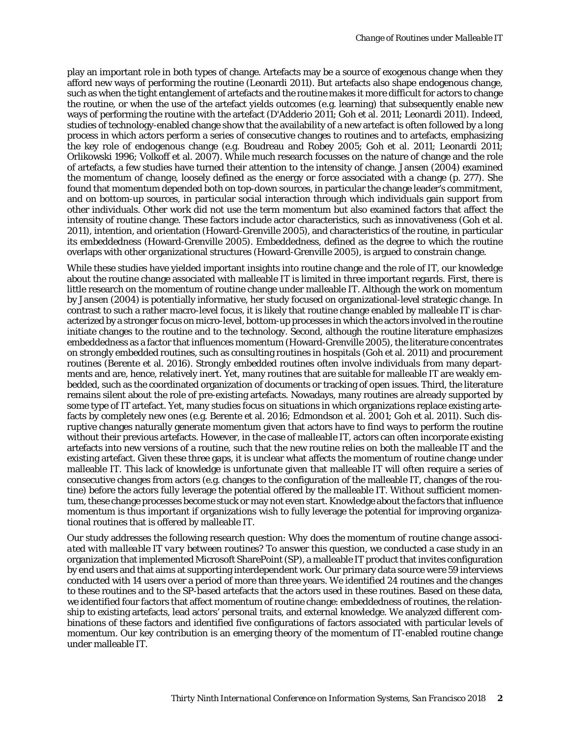play an important role in both types of change. Artefacts may be a source of exogenous change when they afford new ways of performing the routine (Leonardi 2011). But artefacts also shape endogenous change, such as when the tight entanglement of artefacts and the routine makes it more difficult for actors to change the routine, or when the use of the artefact yields outcomes (e.g. learning) that subsequently enable new ways of performing the routine with the artefact (D'Adderio 2011; Goh et al. 2011; Leonardi 2011). Indeed, studies of technology-enabled change show that the availability of a new artefact is often followed by a long process in which actors perform a series of consecutive changes to routines and to artefacts, emphasizing the key role of endogenous change (e.g. Boudreau and Robey 2005; Goh et al. 2011; Leonardi 2011; Orlikowski 1996; Volkoff et al. 2007). While much research focusses on the nature of change and the role of artefacts, a few studies have turned their attention to the intensity of change. Jansen (2004) examined the *momentum of change*, loosely defined as the energy or force associated with a change (p. 277). She found that momentum depended both on top-down sources, in particular the change leader's commitment, and on bottom-up sources, in particular social interaction through which individuals gain support from other individuals. Other work did not use the term momentum but also examined factors that affect the intensity of routine change. These factors include actor characteristics, such as innovativeness (Goh et al. 2011), intention, and orientation (Howard-Grenville 2005), and characteristics of the routine, in particular its embeddedness (Howard-Grenville 2005). Embeddedness, defined as the degree to which the routine overlaps with other organizational structures (Howard-Grenville 2005), is argued to constrain change.

While these studies have yielded important insights into routine change and the role of IT, our knowledge about the routine change associated with malleable IT is limited in three important regards. First, there is little research on the momentum of routine change under malleable IT. Although the work on momentum by Jansen (2004) is potentially informative, her study focused on organizational-level strategic change. In contrast to such a rather macro-level focus, it is likely that routine change enabled by malleable IT is characterized by a stronger focus on micro-level, bottom-up processes in which the actors involved in the routine initiate changes to the routine and to the technology. Second, although the routine literature emphasizes embeddedness as a factor that influences momentum (Howard-Grenville 2005), the literature concentrates on strongly embedded routines, such as consulting routines in hospitals (Goh et al. 2011) and procurement routines (Berente et al. 2016). Strongly embedded routines often involve individuals from many departments and are, hence, relatively inert. Yet, many routines that are suitable for malleable IT are weakly embedded, such as the coordinated organization of documents or tracking of open issues. Third, the literature remains silent about the role of pre-existing artefacts. Nowadays, many routines are already supported by some type of IT artefact. Yet, many studies focus on situations in which organizations replace existing artefacts by completely new ones (e.g. Berente et al. 2016; Edmondson et al. 2001; Goh et al. 2011). Such disruptive changes naturally generate momentum given that actors have to find ways to perform the routine without their previous artefacts. However, in the case of malleable IT, actors can often incorporate existing artefacts into new versions of a routine, such that the new routine relies on both the malleable IT and the existing artefact. Given these three gaps, it is unclear what affects the momentum of routine change under malleable IT. This lack of knowledge is unfortunate given that malleable IT will often require a series of consecutive changes from actors (e.g. changes to the configuration of the malleable IT, changes of the routine) before the actors fully leverage the potential offered by the malleable IT. Without sufficient momentum, these change processes become stuck or may not even start. Knowledge about the factors that influence momentum is thus important if organizations wish to fully leverage the potential for improving organizational routines that is offered by malleable IT.

Our study addresses the following research question: *Why does the momentum of routine change associated with malleable IT vary between routines?* To answer this question, we conducted a case study in an organization that implemented Microsoft SharePoint (SP), a malleable IT product that invites configuration by end users and that aims at supporting interdependent work. Our primary data source were 59 interviews conducted with 14 users over a period of more than three years. We identified 24 routines and the changes to these routines and to the SP-based artefacts that the actors used in these routines. Based on these data, we identified four factors that affect momentum of routine change: embeddedness of routines, the relationship to existing artefacts, lead actors' personal traits, and external knowledge. We analyzed different combinations of these factors and identified five configurations of factors associated with particular levels of momentum. Our key contribution is an emerging theory of the momentum of IT-enabled routine change under malleable IT.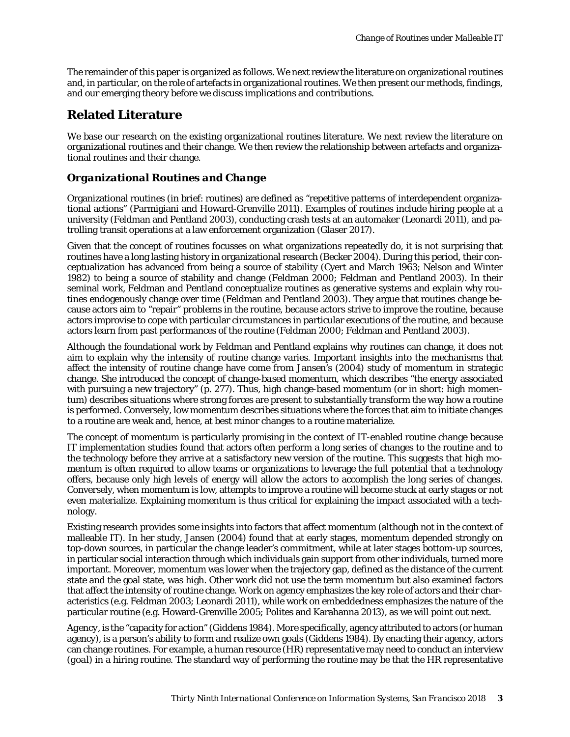The remainder of this paper is organized as follows. We next review the literature on organizational routines and, in particular, on the role of artefacts in organizational routines. We then present our methods, findings, and our emerging theory before we discuss implications and contributions.

# **Related Literature**

We base our research on the existing organizational routines literature. We next review the literature on organizational routines and their change. We then review the relationship between artefacts and organizational routines and their change.

### *Organizational Routines and Change*

Organizational routines (in brief: routines) are defined as "repetitive patterns of interdependent organizational actions" (Parmigiani and Howard-Grenville 2011). Examples of routines include hiring people at a university (Feldman and Pentland 2003), conducting crash tests at an automaker (Leonardi 2011), and patrolling transit operations at a law enforcement organization (Glaser 2017).

Given that the concept of routines focusses on what organizations repeatedly do, it is not surprising that routines have a long lasting history in organizational research (Becker 2004). During this period, their conceptualization has advanced from being a source of stability (Cyert and March 1963; Nelson and Winter 1982) to being a source of stability and change (Feldman 2000; Feldman and Pentland 2003). In their seminal work, Feldman and Pentland conceptualize routines as generative systems and explain why routines endogenously change over time (Feldman and Pentland 2003). They argue that routines change because actors aim to "repair" problems in the routine, because actors strive to improve the routine, because actors improvise to cope with particular circumstances in particular executions of the routine, and because actors learn from past performances of the routine (Feldman 2000; Feldman and Pentland 2003).

Although the foundational work by Feldman and Pentland explains why routines can change, it does not aim to explain why the intensity of routine change varies. Important insights into the mechanisms that affect the intensity of routine change have come from Jansen's (2004) study of momentum in strategic change. She introduced the concept of *change-based momentum*, which describes "the energy associated with pursuing a new trajectory" (p. 277). Thus, high change-based momentum (or in short: high momentum) describes situations where strong forces are present to substantially transform the way how a routine is performed. Conversely, low momentum describes situations where the forces that aim to initiate changes to a routine are weak and, hence, at best minor changes to a routine materialize.

The concept of momentum is particularly promising in the context of IT-enabled routine change because IT implementation studies found that actors often perform a long series of changes to the routine and to the technology before they arrive at a satisfactory new version of the routine. This suggests that high momentum is often required to allow teams or organizations to leverage the full potential that a technology offers, because only high levels of energy will allow the actors to accomplish the long series of changes. Conversely, when momentum is low, attempts to improve a routine will become stuck at early stages or not even materialize. Explaining momentum is thus critical for explaining the impact associated with a technology.

Existing research provides some insights into factors that affect momentum (although not in the context of malleable IT). In her study, Jansen (2004) found that at early stages, momentum depended strongly on top-down sources, in particular the change leader's commitment, while at later stages bottom-up sources, in particular social interaction through which individuals gain support from other individuals, turned more important. Moreover, momentum was lower when the trajectory gap, defined as the distance of the current state and the goal state, was high. Other work did not use the term momentum but also examined factors that affect the intensity of routine change. Work on agency emphasizes the key role of actors and their characteristics (e.g. Feldman 2003; Leonardi 2011), while work on embeddedness emphasizes the nature of the particular routine (e.g. Howard-Grenville 2005; Polites and Karahanna 2013), as we will point out next.

A*gency*, is the "capacity for action" (Giddens 1984). More specifically, agency attributed to actors (or human agency), is a person's ability to form and realize own goals (Giddens 1984). By enacting their agency, actors can change routines. For example, a human resource (HR) representative may need to conduct an interview (*goal*) in a hiring routine. The standard way of performing the routine may be that the HR representative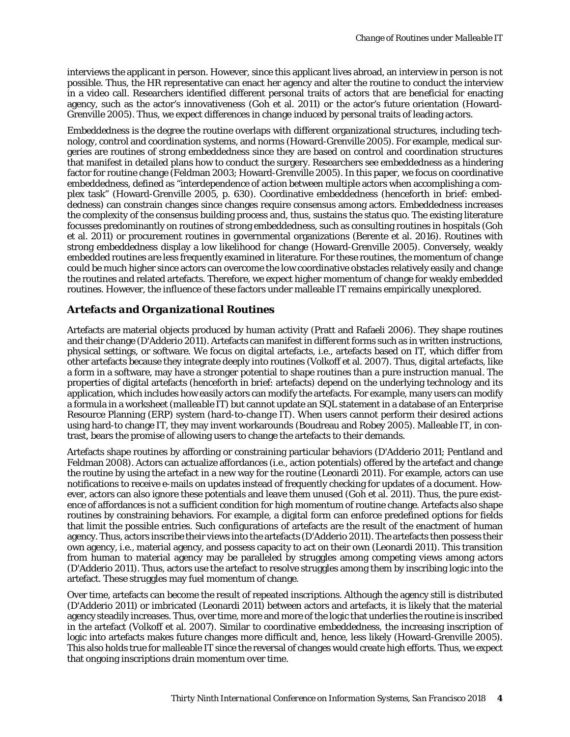interviews the applicant in person. However, since this applicant lives abroad, an interview in person is not possible. Thus, the HR representative can enact her agency and alter the routine to conduct the interview in a video call. Researchers identified different personal traits of actors that are beneficial for enacting agency, such as the actor's innovativeness (Goh et al. 2011) or the actor's future orientation (Howard-Grenville 2005). Thus, we expect differences in change induced by personal traits of leading actors.

*Embeddedness* is the degree the routine overlaps with different organizational structures, including technology, control and coordination systems, and norms (Howard-Grenville 2005). For example, medical surgeries are routines of strong embeddedness since they are based on control and coordination structures that manifest in detailed plans how to conduct the surgery. Researchers see embeddedness as a hindering factor for routine change (Feldman 2003; Howard-Grenville 2005). In this paper, we focus on coordinative embeddedness, defined as "interdependence of action between multiple actors when accomplishing a complex task" (Howard-Grenville 2005, p. 630). Coordinative embeddedness (henceforth in brief: embeddedness) can constrain changes since changes require consensus among actors. Embeddedness increases the complexity of the consensus building process and, thus, sustains the status quo. The existing literature focusses predominantly on routines of strong embeddedness, such as consulting routines in hospitals (Goh et al. 2011) or procurement routines in governmental organizations (Berente et al. 2016). Routines with strong embeddedness display a low likelihood for change (Howard-Grenville 2005). Conversely, weakly embedded routines are less frequently examined in literature. For these routines, the momentum of change could be much higher since actors can overcome the low coordinative obstacles relatively easily and change the routines and related artefacts. Therefore, we expect higher momentum of change for weakly embedded routines. However, the influence of these factors under malleable IT remains empirically unexplored.

### *Artefacts and Organizational Routines*

Artefacts are material objects produced by human activity (Pratt and Rafaeli 2006). They shape routines and their change (D'Adderio 2011). Artefacts can manifest in different forms such as in written instructions, physical settings, or software. We focus on digital artefacts, i.e., artefacts based on IT, which differ from other artefacts because they integrate deeply into routines (Volkoff et al. 2007). Thus, digital artefacts, like a form in a software, may have a stronger potential to shape routines than a pure instruction manual. The properties of digital artefacts (henceforth in brief: artefacts) depend on the underlying technology and its application, which includes how easily actors can modify the artefacts. For example, many users can modify a formula in a worksheet (*malleable IT*) but cannot update an SQL statement in a database of an Enterprise Resource Planning (ERP) system (*hard-to-change IT*). When users cannot perform their desired actions using hard-to change IT, they may invent workarounds (Boudreau and Robey 2005). Malleable IT, in contrast, bears the promise of allowing users to change the artefacts to their demands.

Artefacts shape routines by affording or constraining particular behaviors (D'Adderio 2011; Pentland and Feldman 2008). Actors can actualize affordances (i.e., action potentials) offered by the artefact and change the routine by using the artefact in a new way for the routine (Leonardi 2011). For example, actors can use notifications to receive e-mails on updates instead of frequently checking for updates of a document. However, actors can also ignore these potentials and leave them unused (Goh et al. 2011). Thus, the pure existence of affordances is not a sufficient condition for high momentum of routine change. Artefacts also shape routines by constraining behaviors. For example, a digital form can enforce predefined options for fields that limit the possible entries. Such configurations of artefacts are the result of the enactment of human agency. Thus, actors inscribe their views into the artefacts (D'Adderio 2011). The artefacts then possess their own agency, i.e., material agency, and possess capacity to act on their own (Leonardi 2011). This transition from human to material agency may be paralleled by struggles among competing views among actors (D'Adderio 2011). Thus, actors use the artefact to resolve struggles among them by inscribing logic into the artefact. These struggles may fuel momentum of change.

Over time, artefacts can become the result of repeated inscriptions. Although the agency still is distributed (D'Adderio 2011) or imbricated (Leonardi 2011) between actors and artefacts, it is likely that the material agency steadily increases. Thus, over time, more and more of the logic that underlies the routine is inscribed in the artefact (Volkoff et al. 2007). Similar to coordinative embeddedness, the increasing inscription of logic into artefacts makes future changes more difficult and, hence, less likely (Howard-Grenville 2005). This also holds true for malleable IT since the reversal of changes would create high efforts. Thus, we expect that ongoing inscriptions drain momentum over time.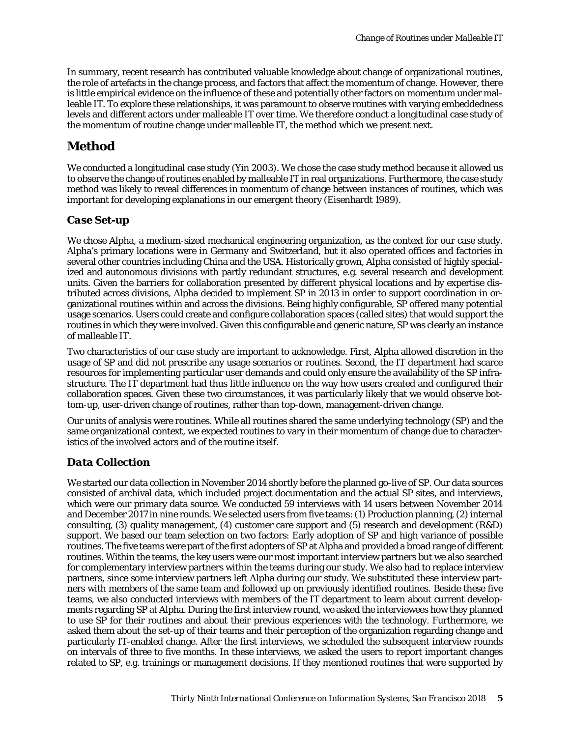In summary, recent research has contributed valuable knowledge about change of organizational routines, the role of artefacts in the change process, and factors that affect the momentum of change. However, there is little empirical evidence on the influence of these and potentially other factors on momentum under malleable IT. To explore these relationships, it was paramount to observe routines with varying embeddedness levels and different actors under malleable IT over time. We therefore conduct a longitudinal case study of the momentum of routine change under malleable IT, the method which we present next.

# **Method**

We conducted a longitudinal case study (Yin 2003). We chose the case study method because it allowed us to observe the change of routines enabled by malleable IT in real organizations. Furthermore, the case study method was likely to reveal differences in momentum of change between instances of routines, which was important for developing explanations in our emergent theory (Eisenhardt 1989).

### *Case Set-up*

We chose Alpha, a medium-sized mechanical engineering organization, as the context for our case study. Alpha's primary locations were in Germany and Switzerland, but it also operated offices and factories in several other countries including China and the USA. Historically grown, Alpha consisted of highly specialized and autonomous divisions with partly redundant structures, e.g. several research and development units. Given the barriers for collaboration presented by different physical locations and by expertise distributed across divisions, Alpha decided to implement SP in 2013 in order to support coordination in organizational routines within and across the divisions. Being highly configurable, SP offered many potential usage scenarios. Users could create and configure collaboration spaces (called sites) that would support the routines in which they were involved. Given this configurable and generic nature, SP was clearly an instance of malleable IT.

Two characteristics of our case study are important to acknowledge. First, Alpha allowed discretion in the usage of SP and did not prescribe any usage scenarios or routines. Second, the IT department had scarce resources for implementing particular user demands and could only ensure the availability of the SP infrastructure. The IT department had thus little influence on the way how users created and configured their collaboration spaces. Given these two circumstances, it was particularly likely that we would observe bottom-up, user-driven change of routines, rather than top-down, management-driven change.

Our units of analysis were routines. While all routines shared the same underlying technology (SP) and the same organizational context, we expected routines to vary in their momentum of change due to characteristics of the involved actors and of the routine itself.

### *Data Collection*

We started our data collection in November 2014 shortly before the planned go-live of SP. Our data sources consisted of archival data, which included project documentation and the actual SP sites, and interviews, which were our primary data source. We conducted 59 interviews with 14 users between November 2014 and December 2017 in nine rounds. We selected users from five teams: (1) Production planning, (2) internal consulting, (3) quality management, (4) customer care support and (5) research and development (R&D) support. We based our team selection on two factors: Early adoption of SP and high variance of possible routines. The five teams were part of the first adopters of SP at Alpha and provided a broad range of different routines. Within the teams, the key users were our most important interview partners but we also searched for complementary interview partners within the teams during our study. We also had to replace interview partners, since some interview partners left Alpha during our study. We substituted these interview partners with members of the same team and followed up on previously identified routines. Beside these five teams, we also conducted interviews with members of the IT department to learn about current developments regarding SP at Alpha. During the first interview round, we asked the interviewees how they planned to use SP for their routines and about their previous experiences with the technology. Furthermore, we asked them about the set-up of their teams and their perception of the organization regarding change and particularly IT-enabled change. After the first interviews, we scheduled the subsequent interview rounds on intervals of three to five months. In these interviews, we asked the users to report important changes related to SP, e.g. trainings or management decisions. If they mentioned routines that were supported by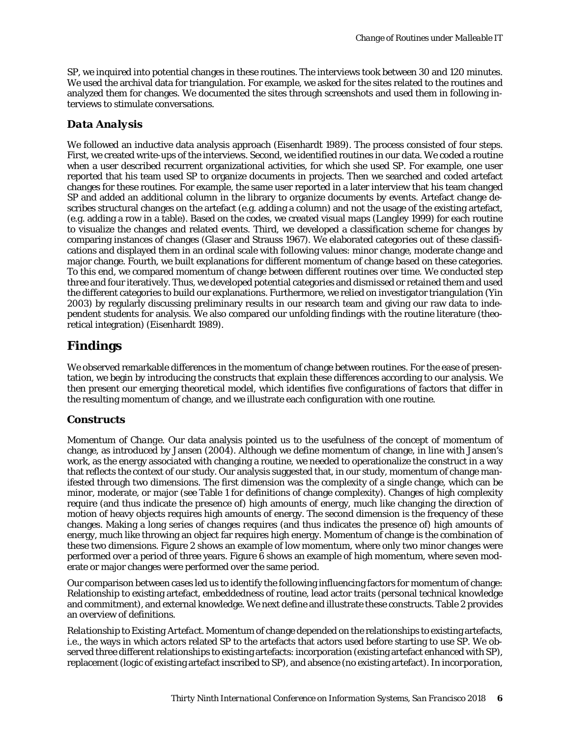SP, we inquired into potential changes in these routines. The interviews took between 30 and 120 minutes. We used the archival data for triangulation. For example, we asked for the sites related to the routines and analyzed them for changes. We documented the sites through screenshots and used them in following interviews to stimulate conversations.

### *Data Analysis*

We followed an inductive data analysis approach (Eisenhardt 1989). The process consisted of four steps. First, we created write-ups of the interviews. Second, we identified routines in our data. We coded a routine when a user described recurrent organizational activities, for which she used SP. For example, one user reported that his team used SP to organize documents in projects. Then we searched and coded artefact changes for these routines. For example, the same user reported in a later interview that his team changed SP and added an additional column in the library to organize documents by events. Artefact change describes structural changes on the artefact (e.g. adding a column) and not the usage of the existing artefact, (e.g. adding a row in a table). Based on the codes, we created visual maps (Langley 1999) for each routine to visualize the changes and related events. Third, we developed a classification scheme for changes by comparing instances of changes (Glaser and Strauss 1967). We elaborated categories out of these classifications and displayed them in an ordinal scale with following values: minor change, moderate change and major change. Fourth, we built explanations for different momentum of change based on these categories. To this end, we compared momentum of change between different routines over time. We conducted step three and four iteratively. Thus, we developed potential categories and dismissed or retained them and used the different categories to build our explanations. Furthermore, we relied on investigator triangulation (Yin 2003) by regularly discussing preliminary results in our research team and giving our raw data to independent students for analysis. We also compared our unfolding findings with the routine literature (theoretical integration) (Eisenhardt 1989).

# **Findings**

We observed remarkable differences in the momentum of change between routines. For the ease of presentation, we begin by introducing the constructs that explain these differences according to our analysis. We then present our emerging theoretical model, which identifies five configurations of factors that differ in the resulting momentum of change, and we illustrate each configuration with one routine.

### *Constructs*

*Momentum of Change.* Our data analysis pointed us to the usefulness of the concept of momentum of change, as introduced by Jansen (2004). Although we define momentum of change, in line with Jansen's work, as the energy associated with changing a routine, we needed to operationalize the construct in a way that reflects the context of our study. Our analysis suggested that, in our study, momentum of change manifested through two dimensions. The first dimension was the complexity of a single change, which can be minor, moderate, or major (see [Table 1](#page-6-0) for definitions of change complexity). Changes of high complexity require (and thus indicate the presence of) high amounts of energy, much like changing the direction of motion of heavy objects requires high amounts of energy. The second dimension is the frequency of these changes. Making a long series of changes requires (and thus indicates the presence of) high amounts of energy, much like throwing an object far requires high energy. Momentum of change is the combination of these two dimensions. [Figure 2](#page-9-0) shows an example of low momentum, where only two minor changes were performed over a period of three years. [Figure 6](#page-9-1) shows an example of high momentum, where seven moderate or major changes were performed over the same period.

Our comparison between cases led us to identify the following influencing factors for momentum of change: Relationship to existing artefact, embeddedness of routine, lead actor traits (personal technical knowledge and commitment), and external knowledge. We next define and illustrate these constructs[. Table 2](#page-7-0) provides an overview of definitions.

*Relationship to Existing Artefact.* Momentum of change depended on the relationships to existing artefacts, i.e., the ways in which actors related SP to the artefacts that actors used before starting to use SP. We observed three different relationships to existing artefacts: incorporation (existing artefact enhanced with SP), replacement (logic of existing artefact inscribed to SP), and absence (no existing artefact). In *incorporation*,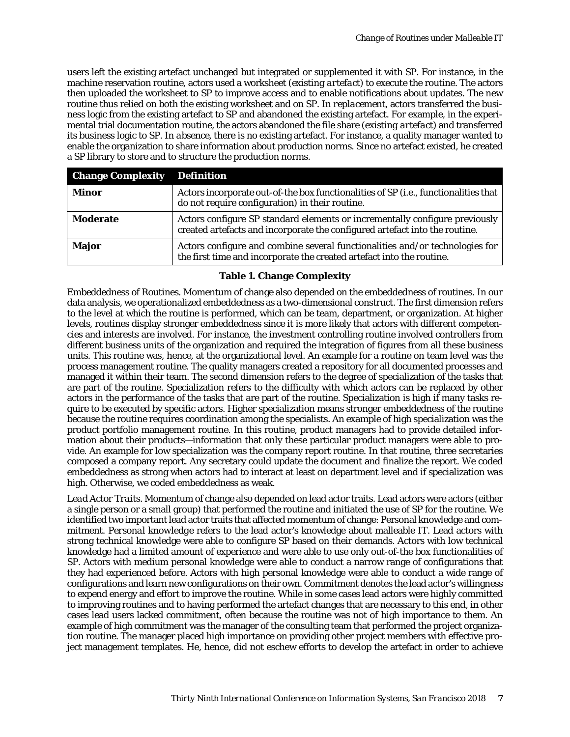users left the existing artefact unchanged but integrated or supplemented it with SP. For instance, in the machine reservation routine, actors used a worksheet (*existing artefact*) to execute the routine. The actors then uploaded the worksheet to SP to improve access and to enable notifications about updates. The new routine thus relied on both the existing worksheet and on SP. In *replacement*, actors transferred the business logic from the existing artefact to SP and abandoned the existing artefact. For example, in the experimental trial documentation routine, the actors abandoned the file share (*existing artefact*) and transferred its business logic to SP. In *absence*, there is no existing artefact. For instance, a quality manager wanted to enable the organization to share information about production norms. Since no artefact existed, he created a SP library to store and to structure the production norms.

| <b>Change Complexity Definition</b> |                                                                                                                                                            |
|-------------------------------------|------------------------------------------------------------------------------------------------------------------------------------------------------------|
| Minor                               | Actors incorporate out-of-the box functionalities of SP (i.e., functionalities that<br>do not require configuration) in their routine.                     |
| Moderate                            | Actors configure SP standard elements or incrementally configure previously<br>created artefacts and incorporate the configured artefact into the routine. |
| <b>Major</b>                        | Actors configure and combine several functionalities and/or technologies for<br>the first time and incorporate the created artefact into the routine.      |

#### **Table 1. Change Complexity**

<span id="page-6-0"></span>*Embeddedness of Routines*. Momentum of change also depended on the embeddedness of routines. In our data analysis, we operationalized embeddedness as a two-dimensional construct. The first dimension refers to the level at which the routine is performed, which can be team, department, or organization. At higher levels, routines display stronger embeddedness since it is more likely that actors with different competencies and interests are involved. For instance, the investment controlling routine involved controllers from different business units of the organization and required the integration of figures from all these business units. This routine was, hence, at the organizational level. An example for a routine on team level was the process management routine. The quality managers created a repository for all documented processes and managed it within their team. The second dimension refers to the degree of specialization of the tasks that are part of the routine. Specialization refers to the difficulty with which actors can be replaced by other actors in the performance of the tasks that are part of the routine. Specialization is high if many tasks require to be executed by specific actors. Higher specialization means stronger embeddedness of the routine because the routine requires coordination among the specialists. An example of high specialization was the product portfolio management routine. In this routine, product managers had to provide detailed information about their products—information that only these particular product managers were able to provide. An example for low specialization was the company report routine. In that routine, three secretaries composed a company report. Any secretary could update the document and finalize the report. We coded embeddedness as strong when actors had to interact at least on department level and if specialization was high. Otherwise, we coded embeddedness as weak.

*Lead Actor Traits*. Momentum of change also depended on lead actor traits. Lead actors were actors (either a single person or a small group) that performed the routine and initiated the use of SP for the routine. We identified two important lead actor traits that affected momentum of change: Personal knowledge and commitment. *Personal knowledge* refers to the lead actor's knowledge about malleable IT. Lead actors with strong technical knowledge were able to configure SP based on their demands. Actors with low technical knowledge had a limited amount of experience and were able to use only out-of-the box functionalities of SP. Actors with medium personal knowledge were able to conduct a narrow range of configurations that they had experienced before. Actors with high personal knowledge were able to conduct a wide range of configurations and learn new configurations on their own. *Commitment* denotes the lead actor's willingness to expend energy and effort to improve the routine. While in some cases lead actors were highly committed to improving routines and to having performed the artefact changes that are necessary to this end, in other cases lead users lacked commitment, often because the routine was not of high importance to them. An example of high commitment was the manager of the consulting team that performed the project organization routine. The manager placed high importance on providing other project members with effective project management templates. He, hence, did not eschew efforts to develop the artefact in order to achieve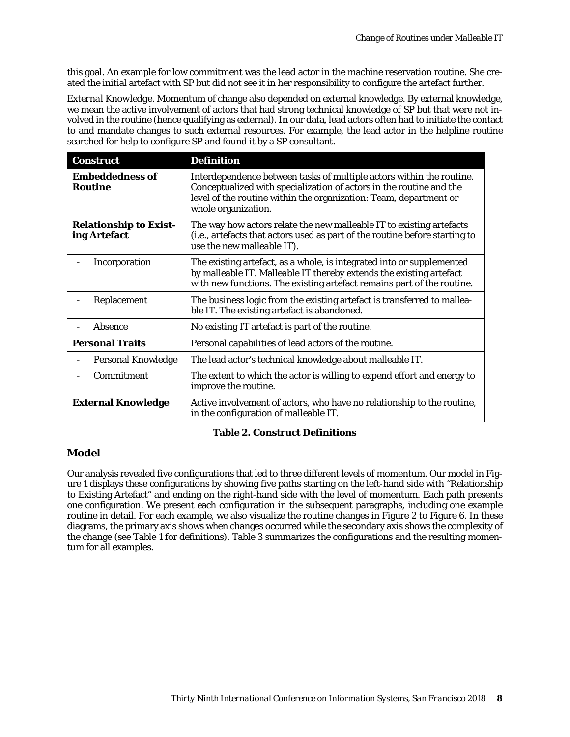this goal. An example for low commitment was the lead actor in the machine reservation routine. She created the initial artefact with SP but did not see it in her responsibility to configure the artefact further.

*External Knowledge*. Momentum of change also depended on external knowledge. By external knowledge, we mean the active involvement of actors that had strong technical knowledge of SP but that were not involved in the routine (hence qualifying as external). In our data, lead actors often had to initiate the contact to and mandate changes to such external resources. For example, the lead actor in the helpline routine searched for help to configure SP and found it by a SP consultant.

| <b>Construct</b>                              | <b>Definition</b>                                                                                                                                                                                                                       |  |  |  |
|-----------------------------------------------|-----------------------------------------------------------------------------------------------------------------------------------------------------------------------------------------------------------------------------------------|--|--|--|
| <b>Embeddedness of</b><br><b>Routine</b>      | Interdependence between tasks of multiple actors within the routine.<br>Conceptualized with specialization of actors in the routine and the<br>level of the routine within the organization: Team, department or<br>whole organization. |  |  |  |
| <b>Relationship to Exist-</b><br>ing Artefact | The way how actors relate the new malleable IT to existing artefacts<br>(i.e., artefacts that actors used as part of the routine before starting to<br>use the new malleable IT).                                                       |  |  |  |
| Incorporation                                 | The existing artefact, as a whole, is integrated into or supplemented<br>by malleable IT. Malleable IT thereby extends the existing artefact<br>with new functions. The existing artefact remains part of the routine.                  |  |  |  |
| Replacement                                   | The business logic from the existing artefact is transferred to mallea-<br>ble IT. The existing artefact is abandoned.                                                                                                                  |  |  |  |
| Absence                                       | No existing IT artefact is part of the routine.                                                                                                                                                                                         |  |  |  |
| <b>Personal Traits</b>                        | Personal capabilities of lead actors of the routine.                                                                                                                                                                                    |  |  |  |
| <b>Personal Knowledge</b>                     | The lead actor's technical knowledge about malleable IT.                                                                                                                                                                                |  |  |  |
| Commitment                                    | The extent to which the actor is willing to expend effort and energy to<br>improve the routine.                                                                                                                                         |  |  |  |
| <b>External Knowledge</b>                     | Active involvement of actors, who have no relationship to the routine,<br>in the configuration of malleable IT.                                                                                                                         |  |  |  |

#### **Table 2. Construct Definitions**

#### <span id="page-7-0"></span>*Model*

Our analysis revealed five configurations that led to three different levels of momentum. Our model in [Fig](#page-8-0)[ure 1](#page-8-0) displays these configurations by showing five paths starting on the left-hand side with "Relationship to Existing Artefact" and ending on the right-hand side with the level of momentum. Each path presents one configuration. We present each configuration in the subsequent paragraphs, including one example routine in detail. For each example, we also visualize the routine changes in Figure 2 to Figure 6. In these diagrams, the primary axis shows when changes occurred while the secondary axis shows the complexity of the change (see Table 1 for definitions). Table 3 summarizes the configurations and the resulting momentum for all examples.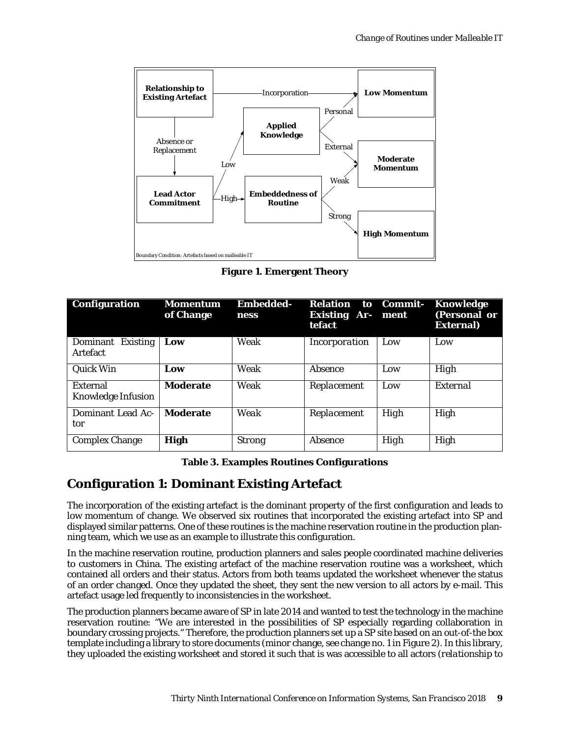

**Figure 1. Emergent Theory**

<span id="page-8-0"></span>

| Configuration                           | <b>Momentum</b><br>of Change | <b>Embedded-</b><br>ness | <b>Relation</b><br><b>Existing Ar-</b><br>tefact | to Commit-<br>ment | Knowledge<br>(Personal or<br><b>External</b> ) |
|-----------------------------------------|------------------------------|--------------------------|--------------------------------------------------|--------------------|------------------------------------------------|
| Dominant<br><b>Existing</b><br>Artefact | Low                          | Weak                     | Incorporation                                    | Low                | Low                                            |
| Quick Win                               | Low                          | Weak                     | Absence                                          | Low                | High                                           |
| External<br><b>Knowledge Infusion</b>   | <b>Moderate</b>              | Weak                     | Replacement                                      | Low                | External                                       |
| Dominant Lead Ac-<br>tor                | <b>Moderate</b>              | Weak                     | Replacement                                      | High               | High                                           |
| <b>Complex Change</b>                   | <b>High</b>                  | <b>Strong</b>            | Absence                                          | High               | High                                           |

**Table 3. Examples Routines Configurations**

# **Configuration 1: Dominant Existing Artefact**

The incorporation of the existing artefact is the dominant property of the first configuration and leads to low momentum of change. We observed six routines that incorporated the existing artefact into SP and displayed similar patterns. One of these routines is the machine reservation routine in the production planning team, which we use as an example to illustrate this configuration.

In the machine reservation routine, production planners and sales people coordinated machine deliveries to customers in China. The existing artefact of the machine reservation routine was a worksheet, which contained all orders and their status. Actors from both teams updated the worksheet whenever the status of an order changed. Once they updated the sheet, they sent the new version to all actors by e-mail. This artefact usage led frequently to inconsistencies in the worksheet.

The production planners became aware of SP in late 2014 and wanted to test the technology in the machine reservation routine: "We are interested in the possibilities of SP especially regarding collaboration in boundary crossing projects." Therefore, the production planners set up a SP site based on an out-of-the box template including a library to store documents (minor change, see change no. 1 in Figure 2). In this library, they uploaded the existing worksheet and stored it such that is was accessible to all actors (*relationship to*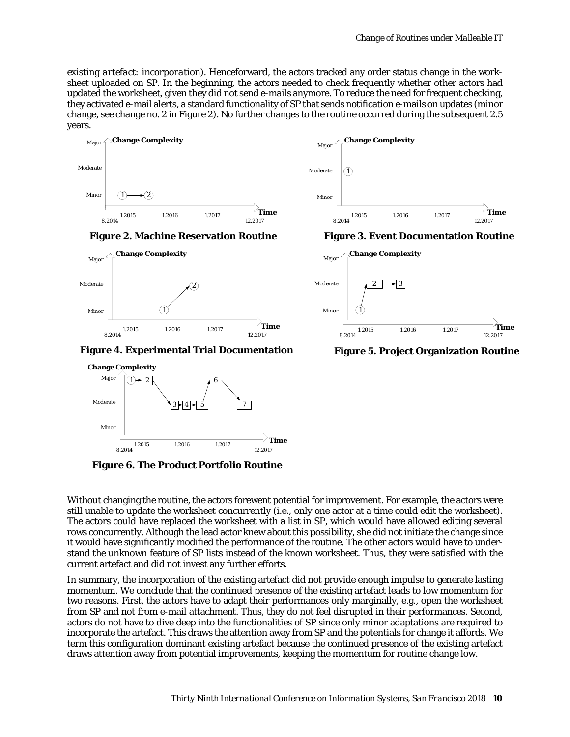*existing artefact: incorporation*). Henceforward, the actors tracked any order status change in the worksheet uploaded on SP. In the beginning, the actors needed to check frequently whether other actors had updated the worksheet, given they did not send e-mails anymore. To reduce the need for frequent checking, they activated e-mail alerts, a standard functionality of SP that sends notification e-mails on updates (minor change, see change no. 2 in Figure 2). No further changes to the routine occurred during the subsequent 2.5 years.



**Figure 2. Machine Reservation Routine**

<span id="page-9-0"></span>

**Figure 4. Experimental Trial Documentation**



<span id="page-9-1"></span>**Figure 6. The Product Portfolio Routine**

Without changing the routine, the actors forewent potential for improvement. For example, the actors were still unable to update the worksheet concurrently (i.e., only one actor at a time could edit the worksheet). The actors could have replaced the worksheet with a list in SP, which would have allowed editing several rows concurrently. Although the lead actor knew about this possibility, she did not initiate the change since it would have significantly modified the performance of the routine. The other actors would have to understand the unknown feature of SP lists instead of the known worksheet. Thus, they were satisfied with the current artefact and did not invest any further efforts.

In summary, the incorporation of the existing artefact did not provide enough impulse to generate lasting momentum. We conclude that the continued presence of the existing artefact leads to low momentum for two reasons. First, the actors have to adapt their performances only marginally, e.g., open the worksheet from SP and not from e-mail attachment. Thus, they do not feel disrupted in their performances. Second, actors do not have to dive deep into the functionalities of SP since only minor adaptations are required to incorporate the artefact. This draws the attention away from SP and the potentials for change it affords. We term this configuration dominant existing artefact because the continued presence of the existing artefact draws attention away from potential improvements, keeping the momentum for routine change low.



**Figure 3. Event Documentation Routine**



**Figure 5. Project Organization Routine**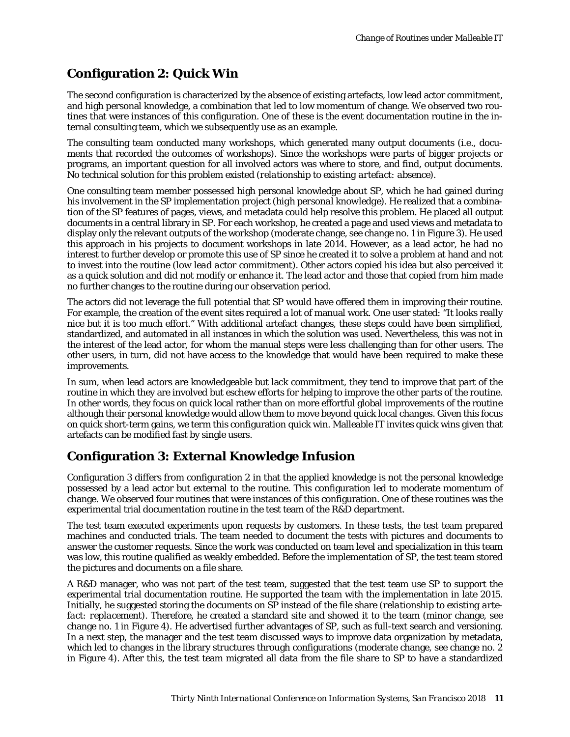# **Configuration 2: Quick Win**

The second configuration is characterized by the absence of existing artefacts, low lead actor commitment, and high personal knowledge, a combination that led to low momentum of change. We observed two routines that were instances of this configuration. One of these is the event documentation routine in the internal consulting team, which we subsequently use as an example.

The consulting team conducted many workshops, which generated many output documents (i.e., documents that recorded the outcomes of workshops). Since the workshops were parts of bigger projects or programs, an important question for all involved actors was where to store, and find, output documents. No technical solution for this problem existed (*relationship to existing artefact: absence*).

One consulting team member possessed high personal knowledge about SP, which he had gained during his involvement in the SP implementation project (*high personal knowledge*). He realized that a combination of the SP features of pages, views, and metadata could help resolve this problem. He placed all output documents in a central library in SP. For each workshop, he created a page and used views and metadata to display only the relevant outputs of the workshop (moderate change, see change no. 1 in Figure 3). He used this approach in his projects to document workshops in late 2014. However, as a lead actor, he had no interest to further develop or promote this use of SP since he created it to solve a problem at hand and not to invest into the routine (*low lead actor commitment*). Other actors copied his idea but also perceived it as a quick solution and did not modify or enhance it. The lead actor and those that copied from him made no further changes to the routine during our observation period.

The actors did not leverage the full potential that SP would have offered them in improving their routine. For example, the creation of the event sites required a lot of manual work. One user stated: "It looks really nice but it is too much effort." With additional artefact changes, these steps could have been simplified, standardized, and automated in all instances in which the solution was used. Nevertheless, this was not in the interest of the lead actor, for whom the manual steps were less challenging than for other users. The other users, in turn, did not have access to the knowledge that would have been required to make these improvements.

In sum, when lead actors are knowledgeable but lack commitment, they tend to improve that part of the routine in which they are involved but eschew efforts for helping to improve the other parts of the routine. In other words, they focus on quick local rather than on more effortful global improvements of the routine although their personal knowledge would allow them to move beyond quick local changes. Given this focus on quick short-term gains, we term this configuration quick win. Malleable IT invites quick wins given that artefacts can be modified fast by single users.

# **Configuration 3: External Knowledge Infusion**

Configuration 3 differs from configuration 2 in that the applied knowledge is not the personal knowledge possessed by a lead actor but external to the routine. This configuration led to moderate momentum of change. We observed four routines that were instances of this configuration. One of these routines was the experimental trial documentation routine in the test team of the R&D department.

The test team executed experiments upon requests by customers. In these tests, the test team prepared machines and conducted trials. The team needed to document the tests with pictures and documents to answer the customer requests. Since the work was conducted on team level and specialization in this team was low, this routine qualified as weakly embedded. Before the implementation of SP, the test team stored the pictures and documents on a file share.

A R&D manager, who was not part of the test team, suggested that the test team use SP to support the experimental trial documentation routine. He supported the team with the implementation in late 2015. Initially, he suggested storing the documents on SP instead of the file share (*relationship to existing artefact: replacement*). Therefore, he created a standard site and showed it to the team (minor change, see change no. 1 in Figure 4). He advertised further advantages of SP, such as full-text search and versioning. In a next step, the manager and the test team discussed ways to improve data organization by metadata, which led to changes in the library structures through configurations (moderate change, see change no. 2 in Figure 4). After this, the test team migrated all data from the file share to SP to have a standardized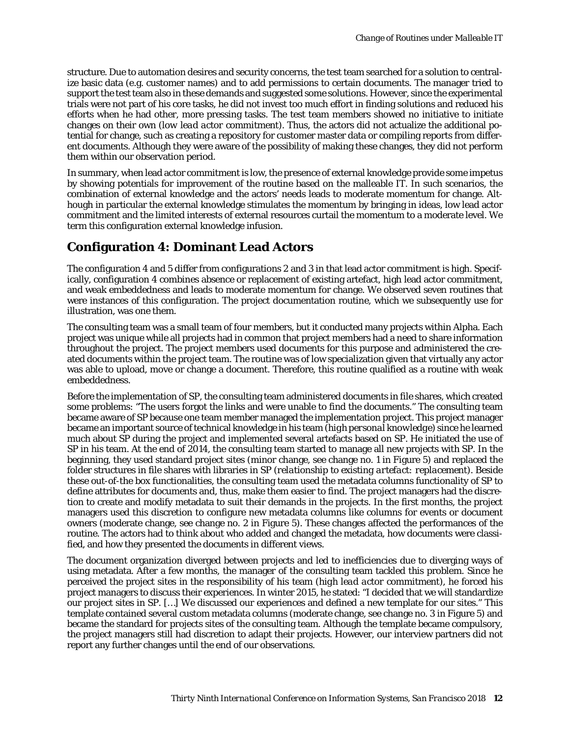structure. Due to automation desires and security concerns, the test team searched for a solution to centralize basic data (e.g. customer names) and to add permissions to certain documents. The manager tried to support the test team also in these demands and suggested some solutions. However, since the experimental trials were not part of his core tasks, he did not invest too much effort in finding solutions and reduced his efforts when he had other, more pressing tasks. The test team members showed no initiative to initiate changes on their own (*low lead actor commitment*). Thus, the actors did not actualize the additional potential for change, such as creating a repository for customer master data or compiling reports from different documents. Although they were aware of the possibility of making these changes, they did not perform them within our observation period.

In summary, when lead actor commitment is low, the presence of external knowledge provide some impetus by showing potentials for improvement of the routine based on the malleable IT. In such scenarios, the combination of external knowledge and the actors' needs leads to moderate momentum for change. Although in particular the external knowledge stimulates the momentum by bringing in ideas, low lead actor commitment and the limited interests of external resources curtail the momentum to a moderate level. We term this configuration external knowledge infusion.

# **Configuration 4: Dominant Lead Actors**

The configuration 4 and 5 differ from configurations 2 and 3 in that lead actor commitment is high. Specifically, configuration 4 combines absence or replacement of existing artefact, high lead actor commitment, and weak embeddedness and leads to moderate momentum for change. We observed seven routines that were instances of this configuration. The project documentation routine, which we subsequently use for illustration, was one them.

The consulting team was a small team of four members, but it conducted many projects within Alpha. Each project was unique while all projects had in common that project members had a need to share information throughout the project. The project members used documents for this purpose and administered the created documents within the project team. The routine was of low specialization given that virtually any actor was able to upload, move or change a document. Therefore, this routine qualified as a routine with weak embeddedness.

Before the implementation of SP, the consulting team administered documents in file shares, which created some problems: "The users forgot the links and were unable to find the documents." The consulting team became aware of SP because one team member managed the implementation project. This project manager became an important source of technical knowledge in his team (*high personal knowledge*) since he learned much about SP during the project and implemented several artefacts based on SP. He initiated the use of SP in his team. At the end of 2014, the consulting team started to manage all new projects with SP. In the beginning, they used standard project sites (minor change, see change no. 1 in Figure 5) and replaced the folder structures in file shares with libraries in SP (*relationship to existing artefact: replacement*). Beside these out-of-the box functionalities, the consulting team used the metadata columns functionality of SP to define attributes for documents and, thus, make them easier to find. The project managers had the discretion to create and modify metadata to suit their demands in the projects. In the first months, the project managers used this discretion to configure new metadata columns like columns for events or document owners (moderate change, see change no. 2 in Figure 5). These changes affected the performances of the routine. The actors had to think about who added and changed the metadata, how documents were classified, and how they presented the documents in different views.

The document organization diverged between projects and led to inefficiencies due to diverging ways of using metadata. After a few months, the manager of the consulting team tackled this problem. Since he perceived the project sites in the responsibility of his team (*high lead actor commitment*), he forced his project managers to discuss their experiences. In winter 2015, he stated: "I decided that we will standardize our project sites in SP. […] We discussed our experiences and defined a new template for our sites." This template contained several custom metadata columns (moderate change, see change no. 3 in Figure 5) and became the standard for projects sites of the consulting team. Although the template became compulsory, the project managers still had discretion to adapt their projects. However, our interview partners did not report any further changes until the end of our observations.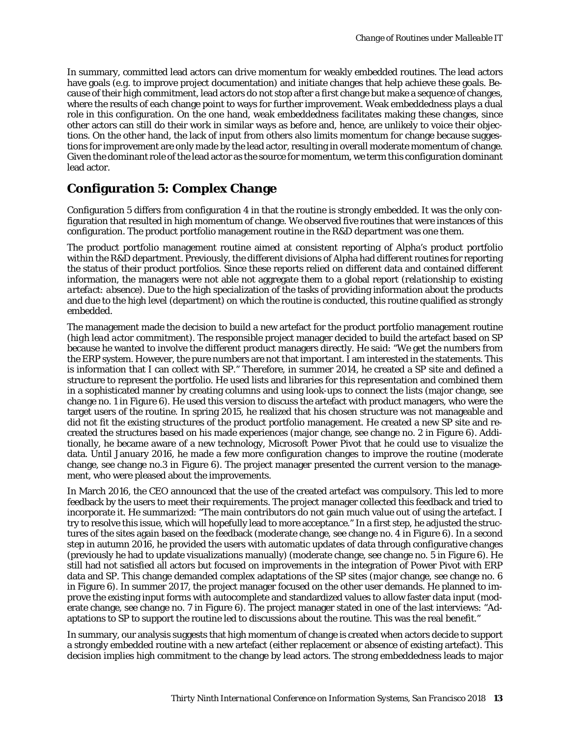In summary, committed lead actors can drive momentum for weakly embedded routines. The lead actors have goals (e.g. to improve project documentation) and initiate changes that help achieve these goals. Because of their high commitment, lead actors do not stop after a first change but make a sequence of changes, where the results of each change point to ways for further improvement. Weak embeddedness plays a dual role in this configuration. On the one hand, weak embeddedness facilitates making these changes, since other actors can still do their work in similar ways as before and, hence, are unlikely to voice their objections. On the other hand, the lack of input from others also limits momentum for change because suggestions for improvement are only made by the lead actor, resulting in overall moderate momentum of change. Given the dominant role of the lead actor as the source for momentum, we term this configuration dominant lead actor.

### **Configuration 5: Complex Change**

Configuration 5 differs from configuration 4 in that the routine is strongly embedded. It was the only configuration that resulted in high momentum of change. We observed five routines that were instances of this configuration. The product portfolio management routine in the R&D department was one them.

The product portfolio management routine aimed at consistent reporting of Alpha's product portfolio within the R&D department. Previously, the different divisions of Alpha had different routines for reporting the status of their product portfolios. Since these reports relied on different data and contained different information, the managers were not able not aggregate them to a global report (*relationship to existing artefact: absence*). Due to the high specialization of the tasks of providing information about the products and due to the high level (department) on which the routine is conducted, this routine qualified as strongly embedded.

The management made the decision to build a new artefact for the product portfolio management routine (*high lead actor commitment*). The responsible project manager decided to build the artefact based on SP because he wanted to involve the different product managers directly. He said: "We get the numbers from the ERP system. However, the pure numbers are not that important. I am interested in the statements. This is information that I can collect with SP." Therefore, in summer 2014, he created a SP site and defined a structure to represent the portfolio. He used lists and libraries for this representation and combined them in a sophisticated manner by creating columns and using look-ups to connect the lists (major change, see change no. 1 in Figure 6). He used this version to discuss the artefact with product managers, who were the target users of the routine. In spring 2015, he realized that his chosen structure was not manageable and did not fit the existing structures of the product portfolio management. He created a new SP site and recreated the structures based on his made experiences (major change, see change no. 2 in Figure 6). Additionally, he became aware of a new technology, Microsoft Power Pivot that he could use to visualize the data. Until January 2016, he made a few more configuration changes to improve the routine (moderate change, see change no.3 in Figure 6). The project manager presented the current version to the management, who were pleased about the improvements.

In March 2016, the CEO announced that the use of the created artefact was compulsory. This led to more feedback by the users to meet their requirements. The project manager collected this feedback and tried to incorporate it. He summarized: "The main contributors do not gain much value out of using the artefact. I try to resolve this issue, which will hopefully lead to more acceptance." In a first step, he adjusted the structures of the sites again based on the feedback (moderate change, see change no. 4 in Figure 6). In a second step in autumn 2016, he provided the users with automatic updates of data through configurative changes (previously he had to update visualizations manually) (moderate change, see change no. 5 in Figure 6). He still had not satisfied all actors but focused on improvements in the integration of Power Pivot with ERP data and SP. This change demanded complex adaptations of the SP sites (major change, see change no. 6 in Figure 6). In summer 2017, the project manager focused on the other user demands. He planned to improve the existing input forms with autocomplete and standardized values to allow faster data input (moderate change, see change no. 7 in Figure 6). The project manager stated in one of the last interviews: "Adaptations to SP to support the routine led to discussions about the routine. This was the real benefit."

In summary, our analysis suggests that high momentum of change is created when actors decide to support a strongly embedded routine with a new artefact (either replacement or absence of existing artefact). This decision implies high commitment to the change by lead actors. The strong embeddedness leads to major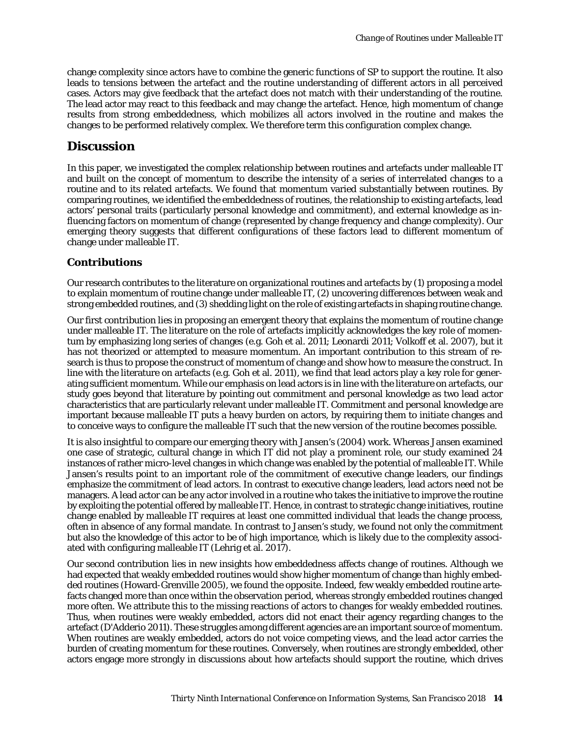change complexity since actors have to combine the generic functions of SP to support the routine. It also leads to tensions between the artefact and the routine understanding of different actors in all perceived cases. Actors may give feedback that the artefact does not match with their understanding of the routine. The lead actor may react to this feedback and may change the artefact. Hence, high momentum of change results from strong embeddedness, which mobilizes all actors involved in the routine and makes the changes to be performed relatively complex. We therefore term this configuration complex change.

### **Discussion**

In this paper, we investigated the complex relationship between routines and artefacts under malleable IT and built on the concept of momentum to describe the intensity of a series of interrelated changes to a routine and to its related artefacts. We found that momentum varied substantially between routines. By comparing routines, we identified the embeddedness of routines, the relationship to existing artefacts, lead actors' personal traits (particularly personal knowledge and commitment), and external knowledge as influencing factors on momentum of change (represented by change frequency and change complexity). Our emerging theory suggests that different configurations of these factors lead to different momentum of change under malleable IT.

#### *Contributions*

Our research contributes to the literature on organizational routines and artefacts by (1) proposing a model to explain momentum of routine change under malleable IT, (2) uncovering differences between weak and strong embedded routines, and (3) shedding light on the role of existing artefacts in shaping routine change.

Our first contribution lies in proposing an emergent theory that explains the momentum of routine change under malleable IT. The literature on the role of artefacts implicitly acknowledges the key role of momentum by emphasizing long series of changes (e.g. Goh et al. 2011; Leonardi 2011; Volkoff et al. 2007), but it has not theorized or attempted to measure momentum. An important contribution to this stream of research is thus to propose the construct of momentum of change and show how to measure the construct. In line with the literature on artefacts (e.g. Goh et al. 2011), we find that lead actors play a key role for generating sufficient momentum. While our emphasis on lead actors is in line with the literature on artefacts, our study goes beyond that literature by pointing out commitment and personal knowledge as two lead actor characteristics that are particularly relevant under malleable IT. Commitment and personal knowledge are important because malleable IT puts a heavy burden on actors, by requiring them to initiate changes and to conceive ways to configure the malleable IT such that the new version of the routine becomes possible.

It is also insightful to compare our emerging theory with Jansen's (2004) work. Whereas Jansen examined one case of strategic, cultural change in which IT did not play a prominent role, our study examined 24 instances of rather micro-level changes in which change was enabled by the potential of malleable IT. While Jansen's results point to an important role of the commitment of executive change leaders, our findings emphasize the commitment of lead actors. In contrast to executive change leaders, lead actors need not be managers. A lead actor can be any actor involved in a routine who takes the initiative to improve the routine by exploiting the potential offered by malleable IT. Hence, in contrast to strategic change initiatives, routine change enabled by malleable IT requires at least one committed individual that leads the change process, often in absence of any formal mandate. In contrast to Jansen's study, we found not only the commitment but also the knowledge of this actor to be of high importance, which is likely due to the complexity associated with configuring malleable IT (Lehrig et al. 2017).

Our second contribution lies in new insights how embeddedness affects change of routines. Although we had expected that weakly embedded routines would show higher momentum of change than highly embedded routines (Howard-Grenville 2005), we found the opposite. Indeed, few weakly embedded routine artefacts changed more than once within the observation period, whereas strongly embedded routines changed more often. We attribute this to the missing reactions of actors to changes for weakly embedded routines. Thus, when routines were weakly embedded, actors did not enact their agency regarding changes to the artefact (D'Adderio 2011). These struggles among different agencies are an important source of momentum. When routines are weakly embedded, actors do not voice competing views, and the lead actor carries the burden of creating momentum for these routines. Conversely, when routines are strongly embedded, other actors engage more strongly in discussions about how artefacts should support the routine, which drives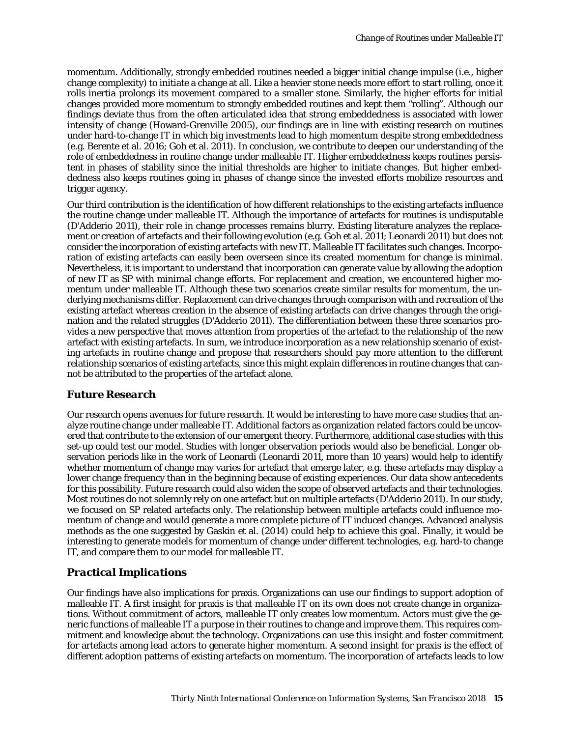momentum. Additionally, strongly embedded routines needed a bigger initial change impulse (i.e., higher change complexity) to initiate a change at all. Like a heavier stone needs more effort to start rolling, once it rolls inertia prolongs its movement compared to a smaller stone. Similarly, the higher efforts for initial changes provided more momentum to strongly embedded routines and kept them "rolling". Although our findings deviate thus from the often articulated idea that strong embeddedness is associated with lower intensity of change (Howard-Grenville 2005), our findings are in line with existing research on routines under hard-to-change IT in which big investments lead to high momentum despite strong embeddedness (e.g. Berente et al. 2016; Goh et al. 2011). In conclusion, we contribute to deepen our understanding of the role of embeddedness in routine change under malleable IT. Higher embeddedness keeps routines persistent in phases of stability since the initial thresholds are higher to initiate changes. But higher embeddedness also keeps routines going in phases of change since the invested efforts mobilize resources and trigger agency.

Our third contribution is the identification of how different relationships to the existing artefacts influence the routine change under malleable IT. Although the importance of artefacts for routines is undisputable (D'Adderio 2011), their role in change processes remains blurry. Existing literature analyzes the replacement or creation of artefacts and their following evolution (e.g. Goh et al. 2011; Leonardi 2011) but does not consider the incorporation of existing artefacts with new IT. Malleable IT facilitates such changes. Incorporation of existing artefacts can easily been overseen since its created momentum for change is minimal. Nevertheless, it is important to understand that incorporation can generate value by allowing the adoption of new IT as SP with minimal change efforts. For replacement and creation, we encountered higher momentum under malleable IT. Although these two scenarios create similar results for momentum, the underlying mechanisms differ. Replacement can drive changes through comparison with and recreation of the existing artefact whereas creation in the absence of existing artefacts can drive changes through the origination and the related struggles (D'Adderio 2011). The differentiation between these three scenarios provides a new perspective that moves attention from properties of the artefact to the relationship of the new artefact with existing artefacts. In sum, we introduce incorporation as a new relationship scenario of existing artefacts in routine change and propose that researchers should pay more attention to the different relationship scenarios of existing artefacts, since this might explain differences in routine changes that cannot be attributed to the properties of the artefact alone.

### *Future Research*

Our research opens avenues for future research. It would be interesting to have more case studies that analyze routine change under malleable IT. Additional factors as organization related factors could be uncovered that contribute to the extension of our emergent theory. Furthermore, additional case studies with this set-up could test our model. Studies with longer observation periods would also be beneficial. Longer observation periods like in the work of Leonardi (Leonardi 2011, more than 10 years) would help to identify whether momentum of change may varies for artefact that emerge later, e.g. these artefacts may display a lower change frequency than in the beginning because of existing experiences. Our data show antecedents for this possibility. Future research could also widen the scope of observed artefacts and their technologies. Most routines do not solemnly rely on one artefact but on multiple artefacts (D'Adderio 2011). In our study, we focused on SP related artefacts only. The relationship between multiple artefacts could influence momentum of change and would generate a more complete picture of IT induced changes. Advanced analysis methods as the one suggested by Gaskin et al. (2014) could help to achieve this goal. Finally, it would be interesting to generate models for momentum of change under different technologies, e.g. hard-to change IT, and compare them to our model for malleable IT.

### *Practical Implications*

Our findings have also implications for praxis. Organizations can use our findings to support adoption of malleable IT. A first insight for praxis is that malleable IT on its own does not create change in organizations. Without commitment of actors, malleable IT only creates low momentum. Actors must give the generic functions of malleable IT a purpose in their routines to change and improve them. This requires commitment and knowledge about the technology. Organizations can use this insight and foster commitment for artefacts among lead actors to generate higher momentum. A second insight for praxis is the effect of different adoption patterns of existing artefacts on momentum. The incorporation of artefacts leads to low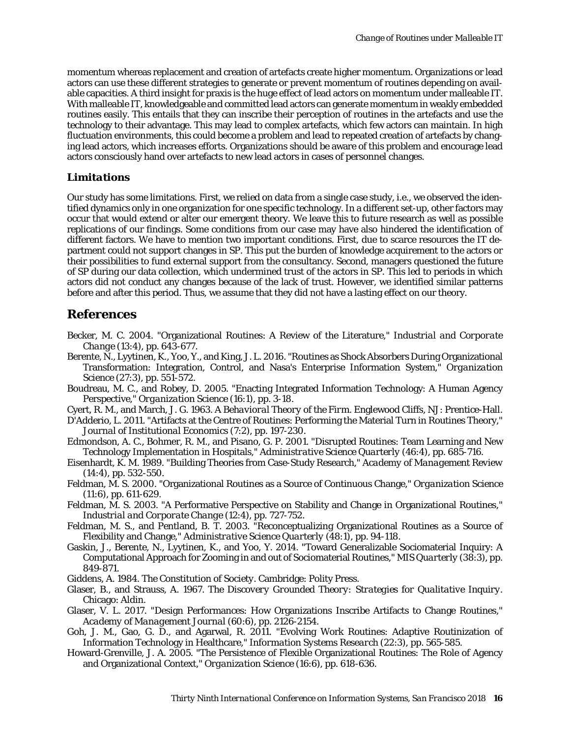momentum whereas replacement and creation of artefacts create higher momentum. Organizations or lead actors can use these different strategies to generate or prevent momentum of routines depending on available capacities. A third insight for praxis is the huge effect of lead actors on momentum under malleable IT. With malleable IT, knowledgeable and committed lead actors can generate momentum in weakly embedded routines easily. This entails that they can inscribe their perception of routines in the artefacts and use the technology to their advantage. This may lead to complex artefacts, which few actors can maintain. In high fluctuation environments, this could become a problem and lead to repeated creation of artefacts by changing lead actors, which increases efforts. Organizations should be aware of this problem and encourage lead actors consciously hand over artefacts to new lead actors in cases of personnel changes.

#### *Limitations*

Our study has some limitations. First, we relied on data from a single case study, i.e., we observed the identified dynamics only in one organization for one specific technology. In a different set-up, other factors may occur that would extend or alter our emergent theory. We leave this to future research as well as possible replications of our findings. Some conditions from our case may have also hindered the identification of different factors. We have to mention two important conditions. First, due to scarce resources the IT department could not support changes in SP. This put the burden of knowledge acquirement to the actors or their possibilities to fund external support from the consultancy. Second, managers questioned the future of SP during our data collection, which undermined trust of the actors in SP. This led to periods in which actors did not conduct any changes because of the lack of trust. However, we identified similar patterns before and after this period. Thus, we assume that they did not have a lasting effect on our theory.

### **References**

- Becker, M. C. 2004. "Organizational Routines: A Review of the Literature," *Industrial and Corporate Change* (13:4), pp. 643-677.
- Berente, N., Lyytinen, K., Yoo, Y., and King, J. L. 2016. "Routines as Shock Absorbers During Organizational Transformation: Integration, Control, and Nasa's Enterprise Information System," *Organization Science* (27:3), pp. 551-572.
- Boudreau, M. C., and Robey, D. 2005. "Enacting Integrated Information Technology: A Human Agency Perspective," *Organization Science* (16:1), pp. 3-18.
- Cyert, R. M., and March, J. G. 1963. *A Behavioral Theory of the Firm*. Englewood Cliffs, NJ: Prentice-Hall.
- D'Adderio, L. 2011. "Artifacts at the Centre of Routines: Performing the Material Turn in Routines Theory," *Journal of Institutional Economics* (7:2), pp. 197-230.
- Edmondson, A. C., Bohmer, R. M., and Pisano, G. P. 2001. "Disrupted Routines: Team Learning and New Technology Implementation in Hospitals," *Administrative Science Quarterly* (46:4), pp. 685-716.
- Eisenhardt, K. M. 1989. "Building Theories from Case-Study Research," *Academy of Management Review* (14:4), pp. 532-550.
- Feldman, M. S. 2000. "Organizational Routines as a Source of Continuous Change," *Organization Science* (11:6), pp. 611-629.
- Feldman, M. S. 2003. "A Performative Perspective on Stability and Change in Organizational Routines," *Industrial and Corporate Change* (12:4), pp. 727-752.
- Feldman, M. S., and Pentland, B. T. 2003. "Reconceptualizing Organizational Routines as a Source of Flexibility and Change," *Administrative Science Quarterly* (48:1), pp. 94-118.
- Gaskin, J., Berente, N., Lyytinen, K., and Yoo, Y. 2014. "Toward Generalizable Sociomaterial Inquiry: A Computational Approach for Zooming in and out of Sociomaterial Routines," *MIS Quarterly* (38:3), pp. 849-871.
- Giddens, A. 1984. *The Constitution of Society*. Cambridge: Polity Press.
- Glaser, B., and Strauss, A. 1967. *The Discovery Grounded Theory: Strategies for Qualitative Inquiry*. Chicago: Aldin.
- Glaser, V. L. 2017. "Design Performances: How Organizations Inscribe Artifacts to Change Routines," *Academy of Management Journal* (60:6), pp. 2126-2154.
- Goh, J. M., Gao, G. D., and Agarwal, R. 2011. "Evolving Work Routines: Adaptive Routinization of Information Technology in Healthcare," *Information Systems Research* (22:3), pp. 565-585.
- Howard-Grenville, J. A. 2005. "The Persistence of Flexible Organizational Routines: The Role of Agency and Organizational Context," *Organization Science* (16:6), pp. 618-636.